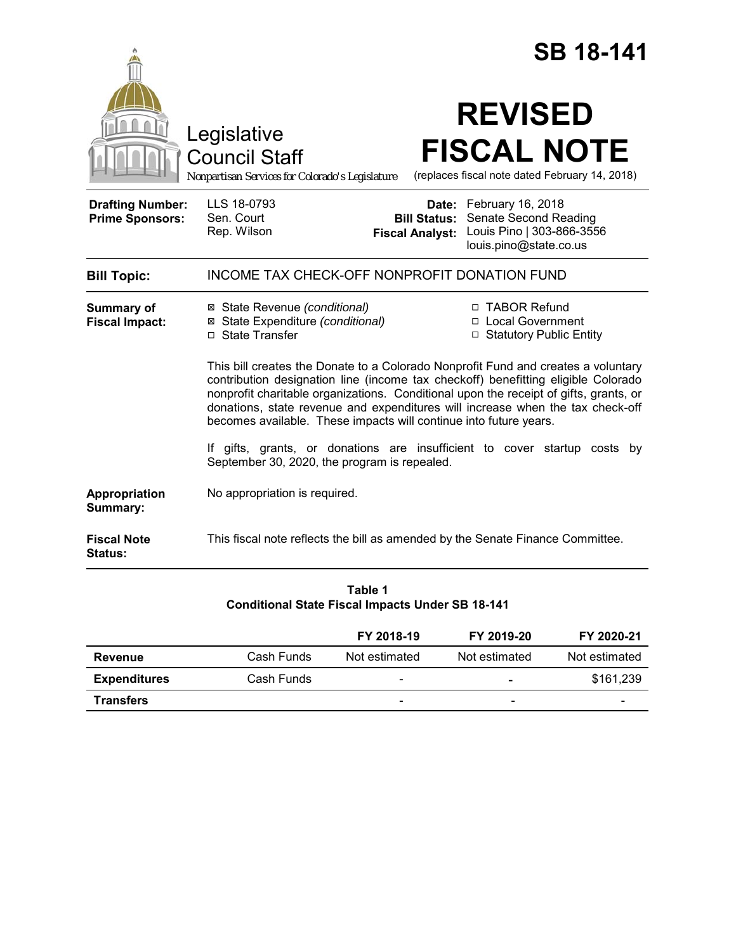|                                                   |                                                                                                                                                                                                                                                                                                                                                                                                                        |                                               | <b>SB 18-141</b>                                                                                        |  |
|---------------------------------------------------|------------------------------------------------------------------------------------------------------------------------------------------------------------------------------------------------------------------------------------------------------------------------------------------------------------------------------------------------------------------------------------------------------------------------|-----------------------------------------------|---------------------------------------------------------------------------------------------------------|--|
|                                                   | Legislative<br><b>Council Staff</b><br>Nonpartisan Services for Colorado's Legislature                                                                                                                                                                                                                                                                                                                                 |                                               | <b>REVISED</b><br><b>FISCAL NOTE</b><br>(replaces fiscal note dated February 14, 2018)                  |  |
| <b>Drafting Number:</b><br><b>Prime Sponsors:</b> | LLS 18-0793<br>Sen. Court<br>Rep. Wilson                                                                                                                                                                                                                                                                                                                                                                               | <b>Bill Status:</b><br><b>Fiscal Analyst:</b> | Date: February 16, 2018<br>Senate Second Reading<br>Louis Pino   303-866-3556<br>louis.pino@state.co.us |  |
| <b>Bill Topic:</b>                                | <b>INCOME TAX CHECK-OFF NONPROFIT DONATION FUND</b>                                                                                                                                                                                                                                                                                                                                                                    |                                               |                                                                                                         |  |
| <b>Summary of</b><br><b>Fiscal Impact:</b>        | ⊠ State Revenue (conditional)<br>⊠ State Expenditure (conditional)<br>□ State Transfer                                                                                                                                                                                                                                                                                                                                 |                                               | □ TABOR Refund<br>□ Local Government<br>□ Statutory Public Entity                                       |  |
|                                                   | This bill creates the Donate to a Colorado Nonprofit Fund and creates a voluntary<br>contribution designation line (income tax checkoff) benefitting eligible Colorado<br>nonprofit charitable organizations. Conditional upon the receipt of gifts, grants, or<br>donations, state revenue and expenditures will increase when the tax check-off<br>becomes available. These impacts will continue into future years. |                                               |                                                                                                         |  |
|                                                   | If gifts, grants, or donations are insufficient to cover startup costs<br>bv<br>September 30, 2020, the program is repealed.                                                                                                                                                                                                                                                                                           |                                               |                                                                                                         |  |
| Appropriation<br>Summary:                         | No appropriation is required.                                                                                                                                                                                                                                                                                                                                                                                          |                                               |                                                                                                         |  |
| <b>Fiscal Note</b><br>Status:                     | This fiscal note reflects the bill as amended by the Senate Finance Committee.                                                                                                                                                                                                                                                                                                                                         |                                               |                                                                                                         |  |

| Table 1                                                 |  |  |  |  |  |
|---------------------------------------------------------|--|--|--|--|--|
| <b>Conditional State Fiscal Impacts Under SB 18-141</b> |  |  |  |  |  |

|                     |            | FY 2018-19               | FY 2019-20               | FY 2020-21               |
|---------------------|------------|--------------------------|--------------------------|--------------------------|
| Revenue             | Cash Funds | Not estimated            | Not estimated            | Not estimated            |
| <b>Expenditures</b> | Cash Funds | -                        | $\overline{\phantom{a}}$ | \$161.239                |
| <b>Transfers</b>    |            | $\overline{\phantom{0}}$ | $\overline{\phantom{0}}$ | $\overline{\phantom{0}}$ |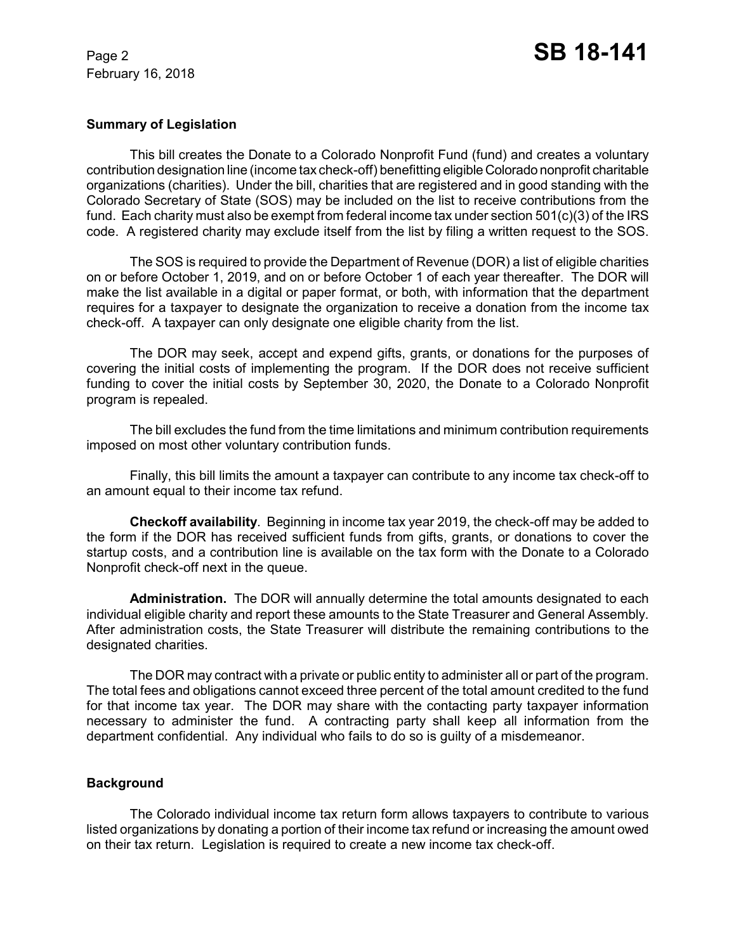# **Summary of Legislation**

This bill creates the Donate to a Colorado Nonprofit Fund (fund) and creates a voluntary contribution designation line (income tax check-off) benefitting eligible Colorado nonprofit charitable organizations (charities). Under the bill, charities that are registered and in good standing with the Colorado Secretary of State (SOS) may be included on the list to receive contributions from the fund. Each charity must also be exempt from federal income tax under section 501(c)(3) of the IRS code. A registered charity may exclude itself from the list by filing a written request to the SOS.

The SOS is required to provide the Department of Revenue (DOR) a list of eligible charities on or before October 1, 2019, and on or before October 1 of each year thereafter. The DOR will make the list available in a digital or paper format, or both, with information that the department requires for a taxpayer to designate the organization to receive a donation from the income tax check-off. A taxpayer can only designate one eligible charity from the list.

The DOR may seek, accept and expend gifts, grants, or donations for the purposes of covering the initial costs of implementing the program. If the DOR does not receive sufficient funding to cover the initial costs by September 30, 2020, the Donate to a Colorado Nonprofit program is repealed.

The bill excludes the fund from the time limitations and minimum contribution requirements imposed on most other voluntary contribution funds.

Finally, this bill limits the amount a taxpayer can contribute to any income tax check-off to an amount equal to their income tax refund.

**Checkoff availability**. Beginning in income tax year 2019, the check-off may be added to the form if the DOR has received sufficient funds from gifts, grants, or donations to cover the startup costs, and a contribution line is available on the tax form with the Donate to a Colorado Nonprofit check-off next in the queue.

**Administration.** The DOR will annually determine the total amounts designated to each individual eligible charity and report these amounts to the State Treasurer and General Assembly. After administration costs, the State Treasurer will distribute the remaining contributions to the designated charities.

The DOR may contract with a private or public entity to administer all or part of the program. The total fees and obligations cannot exceed three percent of the total amount credited to the fund for that income tax year. The DOR may share with the contacting party taxpayer information necessary to administer the fund. A contracting party shall keep all information from the department confidential. Any individual who fails to do so is guilty of a misdemeanor.

# **Background**

The Colorado individual income tax return form allows taxpayers to contribute to various listed organizations by donating a portion of their income tax refund or increasing the amount owed on their tax return. Legislation is required to create a new income tax check-off.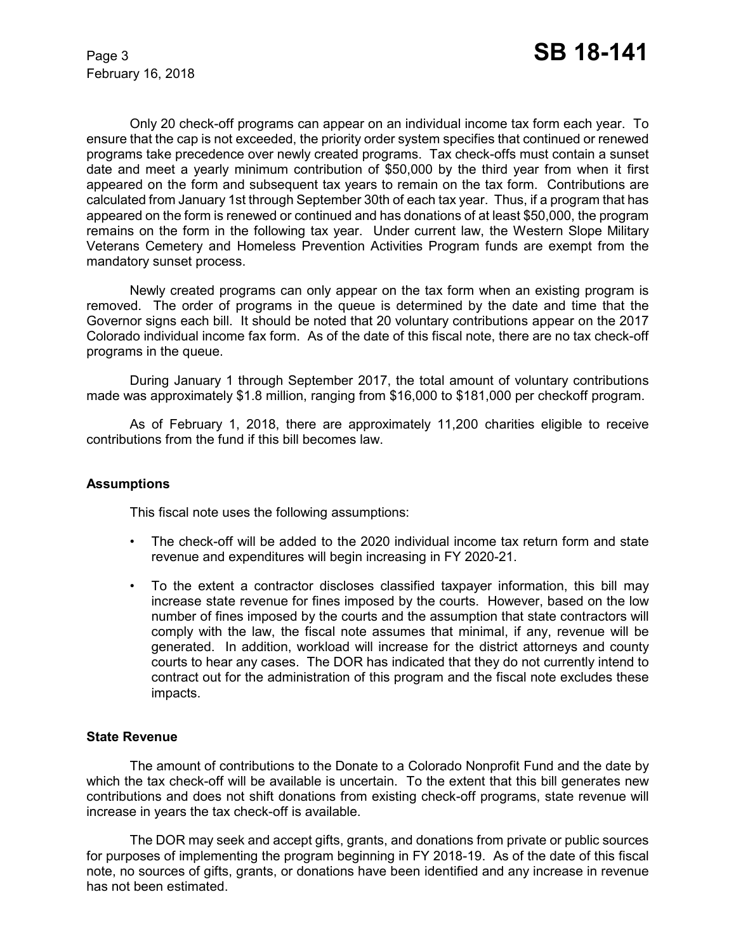Only 20 check-off programs can appear on an individual income tax form each year. To ensure that the cap is not exceeded, the priority order system specifies that continued or renewed programs take precedence over newly created programs. Tax check-offs must contain a sunset date and meet a yearly minimum contribution of \$50,000 by the third year from when it first appeared on the form and subsequent tax years to remain on the tax form. Contributions are calculated from January 1st through September 30th of each tax year. Thus, if a program that has appeared on the form is renewed or continued and has donations of at least \$50,000, the program remains on the form in the following tax year. Under current law, the Western Slope Military Veterans Cemetery and Homeless Prevention Activities Program funds are exempt from the mandatory sunset process.

Newly created programs can only appear on the tax form when an existing program is removed. The order of programs in the queue is determined by the date and time that the Governor signs each bill. It should be noted that 20 voluntary contributions appear on the 2017 Colorado individual income fax form. As of the date of this fiscal note, there are no tax check-off programs in the queue.

During January 1 through September 2017, the total amount of voluntary contributions made was approximately \$1.8 million, ranging from \$16,000 to \$181,000 per checkoff program.

As of February 1, 2018, there are approximately 11,200 charities eligible to receive contributions from the fund if this bill becomes law.

# **Assumptions**

This fiscal note uses the following assumptions:

- The check-off will be added to the 2020 individual income tax return form and state revenue and expenditures will begin increasing in FY 2020-21.
- To the extent a contractor discloses classified taxpayer information, this bill may increase state revenue for fines imposed by the courts. However, based on the low number of fines imposed by the courts and the assumption that state contractors will comply with the law, the fiscal note assumes that minimal, if any, revenue will be generated. In addition, workload will increase for the district attorneys and county courts to hear any cases. The DOR has indicated that they do not currently intend to contract out for the administration of this program and the fiscal note excludes these impacts.

# **State Revenue**

The amount of contributions to the Donate to a Colorado Nonprofit Fund and the date by which the tax check-off will be available is uncertain. To the extent that this bill generates new contributions and does not shift donations from existing check-off programs, state revenue will increase in years the tax check-off is available.

The DOR may seek and accept gifts, grants, and donations from private or public sources for purposes of implementing the program beginning in FY 2018-19. As of the date of this fiscal note, no sources of gifts, grants, or donations have been identified and any increase in revenue has not been estimated.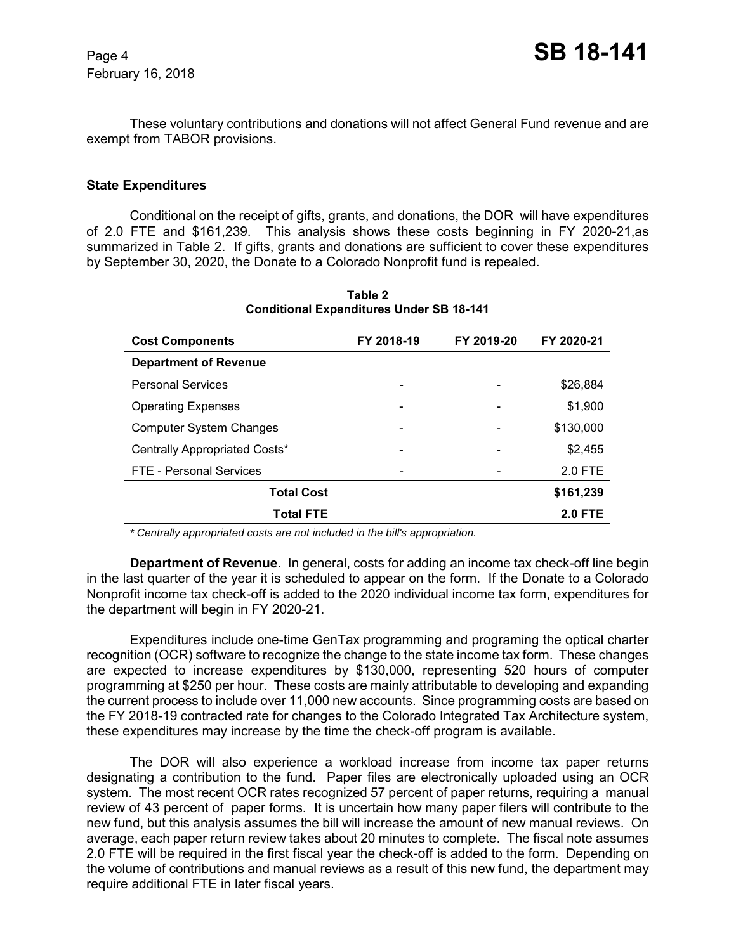These voluntary contributions and donations will not affect General Fund revenue and are exempt from TABOR provisions.

### **State Expenditures**

Conditional on the receipt of gifts, grants, and donations, the DOR will have expenditures of 2.0 FTE and \$161,239. This analysis shows these costs beginning in FY 2020-21,as summarized in Table 2. If gifts, grants and donations are sufficient to cover these expenditures by September 30, 2020, the Donate to a Colorado Nonprofit fund is repealed.

| <b>Cost Components</b>         | FY 2018-19 | FY 2019-20 | FY 2020-21     |
|--------------------------------|------------|------------|----------------|
| <b>Department of Revenue</b>   |            |            |                |
| <b>Personal Services</b>       |            |            | \$26,884       |
| <b>Operating Expenses</b>      | -          |            | \$1,900        |
| <b>Computer System Changes</b> |            |            | \$130,000      |
| Centrally Appropriated Costs*  |            |            | \$2,455        |
| FTE - Personal Services        |            |            | 2.0 FTE        |
| <b>Total Cost</b>              |            |            | \$161,239      |
| <b>Total FTE</b>               |            |            | <b>2.0 FTE</b> |

**Table 2 Conditional Expenditures Under SB 18-141**

 *\* Centrally appropriated costs are not included in the bill's appropriation.*

**Department of Revenue.** In general, costs for adding an income tax check-off line begin in the last quarter of the year it is scheduled to appear on the form. If the Donate to a Colorado Nonprofit income tax check-off is added to the 2020 individual income tax form, expenditures for the department will begin in FY 2020-21.

Expenditures include one-time GenTax programming and programing the optical charter recognition (OCR) software to recognize the change to the state income tax form. These changes are expected to increase expenditures by \$130,000, representing 520 hours of computer programming at \$250 per hour. These costs are mainly attributable to developing and expanding the current process to include over 11,000 new accounts. Since programming costs are based on the FY 2018-19 contracted rate for changes to the Colorado Integrated Tax Architecture system, these expenditures may increase by the time the check-off program is available.

The DOR will also experience a workload increase from income tax paper returns designating a contribution to the fund. Paper files are electronically uploaded using an OCR system. The most recent OCR rates recognized 57 percent of paper returns, requiring a manual review of 43 percent of paper forms. It is uncertain how many paper filers will contribute to the new fund, but this analysis assumes the bill will increase the amount of new manual reviews. On average, each paper return review takes about 20 minutes to complete. The fiscal note assumes 2.0 FTE will be required in the first fiscal year the check-off is added to the form. Depending on the volume of contributions and manual reviews as a result of this new fund, the department may require additional FTE in later fiscal years.